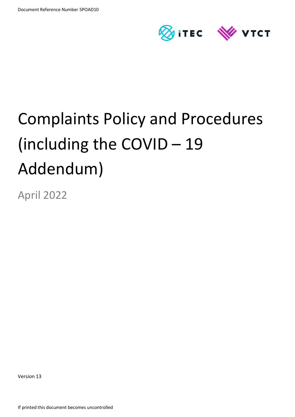

# Complaints Policy and Procedures (including the COVID – 19 Addendum)

April 2022

Version 13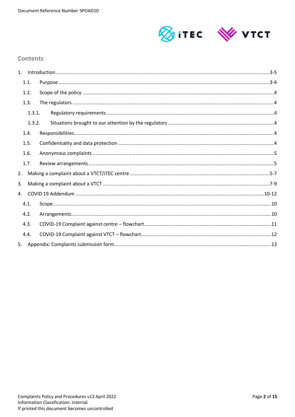

# **Contents**

| 1. |        |  |
|----|--------|--|
|    | 1.1.   |  |
|    | 1.2.   |  |
|    | 1.3.   |  |
|    | 1.3.1. |  |
|    | 1.3.2. |  |
|    | 1.4.   |  |
|    | 1.5.   |  |
|    | 1.6.   |  |
|    | 1.7.   |  |
| 2. |        |  |
| 3. |        |  |
| 4. |        |  |
|    | 4.1.   |  |
|    | 4.2.   |  |
|    | 4.3.   |  |
|    | 4.4.   |  |
|    |        |  |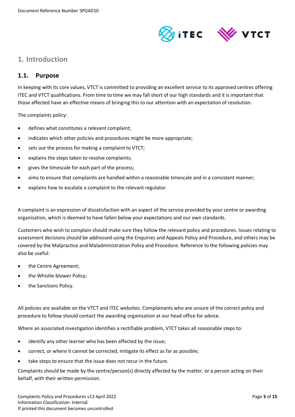

# <span id="page-2-0"></span>**1. Introduction**

# <span id="page-2-1"></span>**1.1. Purpose**

In keeping with its core values, VTCT is committed to providing an excellent service to its approved centres offering ITEC and VTCT qualifications. From time to time we may fall short of our high standards and it is important that those affected have an effective means of bringing this to our attention with an expectation of resolution.

The complaints policy:

- defines what constitutes a relevant complaint;
- indicates which other policies and procedures might be more appropriate;
- sets out the process for making a complaint to VTCT;
- explains the steps taken to resolve complaints;
- gives the timescale for each part of the process;
- aims to ensure that complaints are handled within a reasonable timescale and in a consistent manner;
- explains how to escalate a complaint to the relevant regulator.

A complaint is an expression of dissatisfaction with an aspect of the service provided by your centre or awarding organisation, which is deemed to have fallen below your expectations and our own standards.

Customers who wish to complain should make sure they follow the relevant policy and procedures. Issues relating to assessment decisions should be addressed using the Enquiries and Appeals Policy and Procedure, and others may be covered by the Malpractice and Maladministration Policy and Procedure. Reference to the following policies may also be useful:

- the Centre Agreement;
- the Whistle-blower Policy;
- the Sanctions Policy.

All policies are available on the VTCT and ITEC websites. Complainants who are unsure of the correct policy and procedure to follow should contact the awarding organisation at our head office for advice.

Where an associated investigation identifies a rectifiable problem, VTCT takes all reasonable steps to:

- identify any other learner who has been affected by the issue;
- correct, or where it cannot be corrected, mitigate its effect as far as possible;
- take steps to ensure that the issue does not recur in the future.

Complaints should be made by the centre/person(s) directly affected by the matter, or a person acting on their behalf, with their written permission.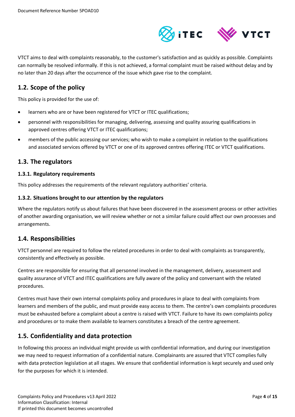

VTCT aims to deal with complaints reasonably, to the customer's satisfaction and as quickly as possible. Complaints can normally be resolved informally. If this is not achieved, a formal complaint must be raised without delay and by no later than 20 days after the occurrence of the issue which gave rise to the complaint.

# <span id="page-3-0"></span>**1.2. Scope of the policy**

This policy is provided for the use of:

- learners who are or have been registered for VTCT or ITEC qualifications;
- personnel with responsibilities for managing, delivering, assessing and quality assuring qualifications in approved centres offering VTCT or ITEC qualifications;
- members of the public accessing our services; who wish to make a complaint in relation to the qualifications and associated services offered by VTCT or one of its approved centres offering ITEC or VTCT qualifications.

## <span id="page-3-1"></span>**1.3. The regulators**

#### <span id="page-3-2"></span>**1.3.1. Regulatory requirements**

This policy addresses the requirements of the relevant regulatory authorities' criteria.

#### <span id="page-3-3"></span>**1.3.2. Situations brought to our attention by the regulators**

Where the regulators notify us about failures that have been discovered in the assessment process or other activities of another awarding organisation, we will review whether or not a similar failure could affect our own processes and arrangements.

## <span id="page-3-4"></span>**1.4. Responsibilities**

VTCT personnel are required to follow the related procedures in order to deal with complaints as transparently, consistently and effectively as possible.

Centres are responsible for ensuring that all personnel involved in the management, delivery, assessment and quality assurance of VTCT and ITEC qualifications are fully aware of the policy and conversant with the related procedures.

Centres must have their own internal complaints policy and procedures in place to deal with complaints from learners and members of the public, and must provide easy access to them. The centre's own complaints procedures must be exhausted before a complaint about a centre is raised with VTCT. Failure to have its own complaints policy and procedures or to make them available to learners constitutes a breach of the centre agreement.

# <span id="page-3-5"></span>**1.5. Confidentiality and data protection**

In following this process an individual might provide us with confidential information, and during our investigation we may need to request information of a confidential nature. Complainants are assured that VTCT complies fully with data protection legislation at all stages. We ensure that confidential information is kept securely and used only for the purposes for which it is intended.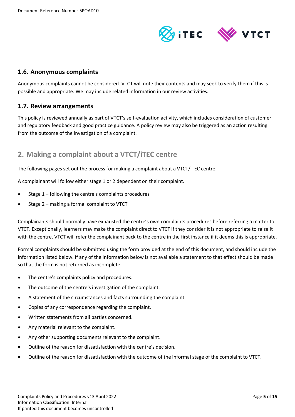

# <span id="page-4-0"></span>**1.6. Anonymous complaints**

Anonymous complaints cannot be considered. VTCT will note their contents and may seek to verify them if this is possible and appropriate. We may include related information in our review activities.

## <span id="page-4-1"></span>**1.7. Review arrangements**

This policy is reviewed annually as part of VTCT's self-evaluation activity, which includes consideration of customer and regulatory feedback and good practice guidance. A policy review may also be triggered as an action resulting from the outcome of the investigation of a complaint.

# <span id="page-4-2"></span>**2. Making a complaint about a VTCT/iTEC centre**

The following pages set out the process for making a complaint about a VTCT/iTEC centre.

A complainant will follow either stage 1 or 2 dependent on their complaint.

- Stage 1 following the centre's complaints procedures
- Stage 2 making a formal complaint to VTCT

Complainants should normally have exhausted the centre's own complaints procedures before referring a matter to VTCT. Exceptionally, learners may make the complaint direct to VTCT if they consider it is not appropriate to raise it with the centre. VTCT will refer the complainant back to the centre in the first instance if it deems this is appropriate.

Formal complaints should be submitted using the form provided at the end of this document, and should include the information listed below. If any of the information below is not available a statement to that effect should be made so that the form is not returned as incomplete.

- The centre's complaints policy and procedures.
- The outcome of the centre's investigation of the complaint.
- A statement of the circumstances and facts surrounding the complaint.
- Copies of any correspondence regarding the complaint.
- Written statements from all parties concerned.
- Any material relevant to the complaint.
- Any other supporting documents relevant to the complaint.
- Outline of the reason for dissatisfaction with the centre's decision.
- Outline of the reason for dissatisfaction with the outcome of the informal stage of the complaint to VTCT.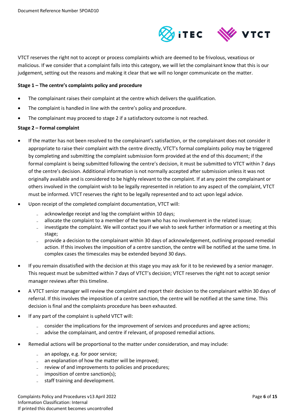

VTCT reserves the right not to accept or process complaints which are deemed to be frivolous, vexatious or malicious. If we consider that a complaint falls into this category, we will let the complainant know that this is our judgement, setting out the reasons and making it clear that we will no longer communicate on the matter.

#### **Stage 1 – The centre's complaints policy and procedure**

- The complainant raises their complaint at the centre which delivers the qualification.
- The complaint is handled in line with the centre's policy and procedure.
- The complainant may proceed to stage 2 if a satisfactory outcome is not reached.

#### **Stage 2 – Formal complaint**

- If the matter has not been resolved to the complainant's satisfaction, or the complainant does not consider it appropriate to raise their complaint with the centre directly, VTCT's formal complaints policy may be triggered by completing and submitting the complaint submission form provided at the end of this document; if the formal complaint is being submitted following the centre's decision, it must be submitted to VTCT within 7 days of the centre's decision. Additional information is not normally accepted after submission unless it was not originally available and is considered to be highly relevant to the complaint. If at any point the complainant or others involved in the complaint wish to be legally represented in relation to any aspect of the complaint, VTCT must be informed. VTCT reserves the right to be legally represented and to act upon legal advice.
- Upon receipt of the completed complaint documentation, VTCT will:
	- acknowledge receipt and log the complaint within 10 days;
	- allocate the complaint to a member of the team who has no involvement in the related issue;
	- investigate the complaint. We will contact you if we wish to seek further information or a meeting at this stage;
	- ̵ provide a decision to the complainant within 30 days of acknowledgement, outlining proposed remedial action. If this involves the imposition of a centre sanction, the centre will be notified at the same time. In complex cases the timescales may be extended beyond 30 days.
- If you remain dissatisfied with the decision at this stage you may ask for it to be reviewed by a senior manager. This request must be submitted within 7 days of VTCT's decision; VTCT reserves the right not to accept senior manager reviews after this timeline.
- A VTCT senior manager will review the complaint and report their decision to the complainant within 30 days of referral. If this involves the imposition of a centre sanction, the centre will be notified at the same time. This decision is final and the complaints procedure has been exhausted.
- If any part of the complaint is upheld VTCT will:
	- consider the implications for the improvement of services and procedures and agree actions;
	- advise the complainant, and centre if relevant, of proposed remedial actions.
- Remedial actions will be proportional to the matter under consideration, and may include:
	- an apology, e.g. for poor service;
	- an explanation of how the matter will be improved;
	- review of and improvements to policies and procedures;
	- imposition of centre sanction(s);
	- staff training and development.

Complaints Policy and Procedures v13 April 2022 Page **6** of **15** Information Classification: Internal If printed this document becomes uncontrolled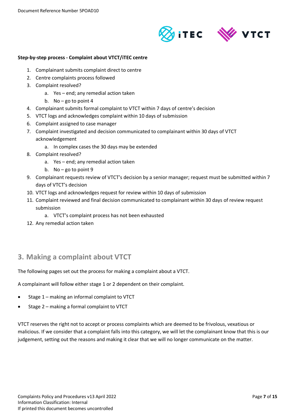

#### **Step-by-step process - Complaint about VTCT/iTEC centre**

- 1. Complainant submits complaint direct to centre
- 2. Centre complaints process followed
- 3. Complaint resolved?
	- a. Yes end; any remedial action taken
	- b. No go to point 4
- 4. Complainant submits formal complaint to VTCT within 7 days of centre's decision
- 5. VTCT logs and acknowledges complaint within 10 days of submission
- 6. Complaint assigned to case manager
- 7. Complaint investigated and decision communicated to complainant within 30 days of VTCT acknowledgement
	- a. In complex cases the 30 days may be extended
- 8. Complaint resolved?
	- a. Yes end; any remedial action taken
	- b. No go to point 9
- 9. Complainant requests review of VTCT's decision by a senior manager; request must be submitted within 7 days of VTCT's decision
- 10. VTCT logs and acknowledges request for review within 10 days of submission
- 11. Complaint reviewed and final decision communicated to complainant within 30 days of review request submission
	- a. VTCT's complaint process has not been exhausted
- 12. Any remedial action taken

# **3. Making a complaint about VTCT**

The following pages set out the process for making a complaint about a VTCT.

A complainant will follow either stage 1 or 2 dependent on their complaint.

- Stage 1 making an informal complaint to VTCT
- Stage 2 making a formal complaint to VTCT

VTCT reserves the right not to accept or process complaints which are deemed to be frivolous, vexatious or malicious. If we consider that a complaint falls into this category, we will let the complainant know that this is our judgement, setting out the reasons and making it clear that we will no longer communicate on the matter.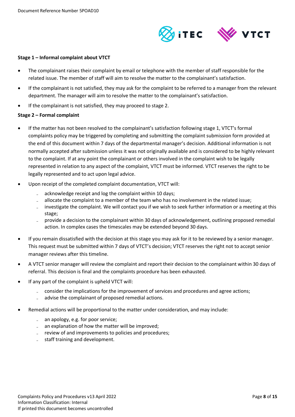

#### **Stage 1 – Informal complaint about VTCT**

- The complainant raises their complaint by email or telephone with the member of staff responsible for the related issue. The member of staff will aim to resolve the matter to the complainant's satisfaction.
- If the complainant is not satisfied, they may ask for the complaint to be referred to a manager from the relevant department. The manager will aim to resolve the matter to the complainant's satisfaction.
- If the complainant is not satisfied, they may proceed to stage 2.

#### **Stage 2 – Formal complaint**

- If the matter has not been resolved to the complainant's satisfaction following stage 1, VTCT's formal complaints policy may be triggered by completing and submitting the complaint submission form provided at the end of this document within 7 days of the departmental manager's decision. Additional information is not normally accepted after submission unless it was not originally available and is considered to be highly relevant to the complaint. If at any point the complainant or others involved in the complaint wish to be legally represented in relation to any aspect of the complaint, VTCT must be informed. VTCT reserves the right to be legally represented and to act upon legal advice.
- Upon receipt of the completed complaint documentation, VTCT will:
	- acknowledge receipt and log the complaint within 10 days;
	- allocate the complaint to a member of the team who has no involvement in the related issue;
	- investigate the complaint. We will contact you if we wish to seek further information or a meeting at this stage;
	- provide a decision to the complainant within 30 days of acknowledgement, outlining proposed remedial action. In complex cases the timescales may be extended beyond 30 days.
- If you remain dissatisfied with the decision at this stage you may ask for it to be reviewed by a senior manager. This request must be submitted within 7 days of VTCT's decision; VTCT reserves the right not to accept senior manager reviews after this timeline.
- A VTCT senior manager will review the complaint and report their decision to the complainant within 30 days of referral. This decision is final and the complaints procedure has been exhausted.
- If any part of the complaint is upheld VTCT will:
	- consider the implications for the improvement of services and procedures and agree actions;
	- advise the complainant of proposed remedial actions.
- Remedial actions will be proportional to the matter under consideration, and may include:
	- an apology, e.g. for poor service;
	- an explanation of how the matter will be improved;
	- review of and improvements to policies and procedures;
	- staff training and development.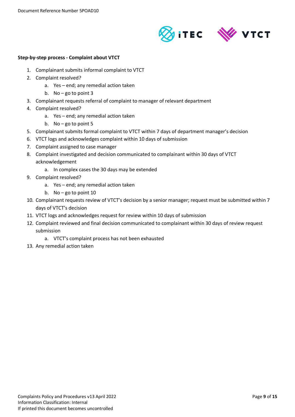

#### **Step-by-step process - Complaint about VTCT**

- 1. Complainant submits informal complaint to VTCT
- 2. Complaint resolved?
	- a. Yes end; any remedial action taken
	- b. No go to point 3
- 3. Complainant requests referral of complaint to manager of relevant department
- 4. Complaint resolved?
	- a. Yes end; any remedial action taken
	- b. No go to point 5
- 5. Complainant submits formal complaint to VTCT within 7 days of department manager's decision
- 6. VTCT logs and acknowledges complaint within 10 days of submission
- 7. Complaint assigned to case manager
- 8. Complaint investigated and decision communicated to complainant within 30 days of VTCT acknowledgement
	- a. In complex cases the 30 days may be extended
- 9. Complaint resolved?
	- a. Yes end; any remedial action taken
	- b. No go to point 10
- 10. Complainant requests review of VTCT's decision by a senior manager; request must be submitted within 7 days of VTCT's decision
- 11. VTCT logs and acknowledges request for review within 10 days of submission
- 12. Complaint reviewed and final decision communicated to complainant within 30 days of review request submission
	- a. VTCT's complaint process has not been exhausted
- 13. Any remedial action taken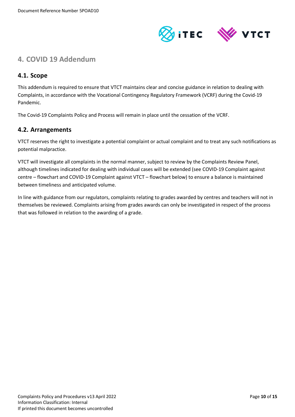

# <span id="page-9-0"></span>**4. COVID 19 Addendum**

# <span id="page-9-1"></span>**4.1. Scope**

This addendum is required to ensure that VTCT maintains clear and concise guidance in relation to dealing with Complaints, in accordance with the Vocational Contingency Regulatory Framework (VCRF) during the Covid-19 Pandemic.

The Covid-19 Complaints Policy and Process will remain in place until the cessation of the VCRF.

## <span id="page-9-2"></span>**4.2. Arrangements**

VTCT reserves the right to investigate a potential complaint or actual complaint and to treat any such notifications as potential malpractice.

VTCT will investigate all complaints in the normal manner, subject to review by the Complaints Review Panel, although timelines indicated for dealing with individual cases will be extended (see COVID-19 Complaint against centre – flowchart and COVID-19 Complaint against VTCT – flowchart below) to ensure a balance is maintained between timeliness and anticipated volume.

In line with guidance from our regulators, complaints relating to grades awarded by centres and teachers will not in themselves be reviewed. Complaints arising from grades awards can only be investigated in respect of the process that was followed in relation to the awarding of a grade.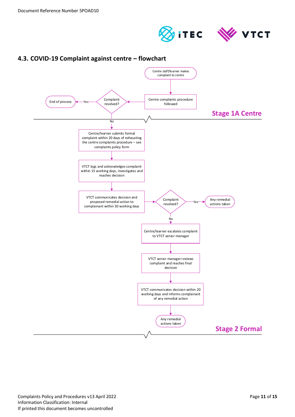



# <span id="page-10-0"></span>**4.3. COVID-19 Complaint against centre – flowchart**

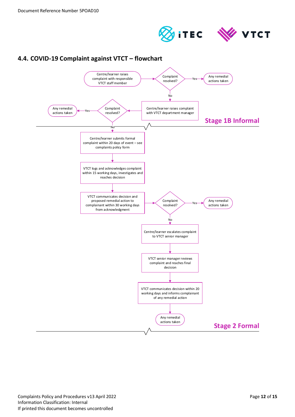

<span id="page-11-0"></span>

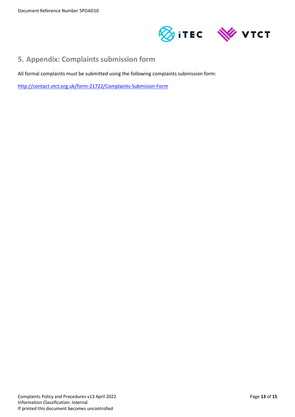

# <span id="page-12-0"></span>**5. Appendix: Complaints submission form**

All formal complaints must be submitted using the following complaints submission form:

<http://contact.vtct.org.uk/form-21722/Complaints-Submision-Form>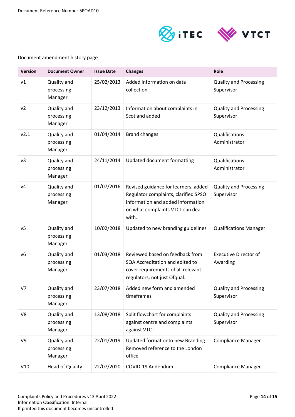

### Document amendment history page

| <b>Version</b> | <b>Document Owner</b>                | <b>Issue Date</b> | <b>Changes</b>                                                                                                                                                 | Role                                        |
|----------------|--------------------------------------|-------------------|----------------------------------------------------------------------------------------------------------------------------------------------------------------|---------------------------------------------|
| v1             | Quality and<br>processing<br>Manager | 25/02/2013        | Added information on data<br>collection                                                                                                                        | <b>Quality and Processing</b><br>Supervisor |
| v <sub>2</sub> | Quality and<br>processing<br>Manager | 23/12/2013        | Information about complaints in<br>Scotland added                                                                                                              | <b>Quality and Processing</b><br>Supervisor |
| v2.1           | Quality and<br>processing<br>Manager | 01/04/2014        | <b>Brand changes</b>                                                                                                                                           | Qualifications<br>Administrator             |
| v3             | Quality and<br>processing<br>Manager | 24/11/2014        | Updated document formatting                                                                                                                                    | Qualifications<br>Administrator             |
| V <sub>4</sub> | Quality and<br>processing<br>Manager | 01/07/2016        | Revised guidance for learners, added<br>Regulator complaints, clarified SPSO<br>information and added information<br>on what complaints VTCT can deal<br>with. | <b>Quality and Processing</b><br>Supervisor |
| v <sub>5</sub> | Quality and<br>processing<br>Manager | 10/02/2018        | Updated to new branding guidelines                                                                                                                             | <b>Qualifications Manager</b>               |
| v6             | Quality and<br>processing<br>Manager | 01/03/2018        | Reviewed based on feedback from<br>SQA Accreditation and edited to<br>cover requirements of all relevant<br>regulators, not just Ofqual.                       | <b>Executive Director of</b><br>Awarding    |
| V7             | Quality and<br>processing<br>Manager | 23/07/2018        | Added new form and amended<br>timeframes                                                                                                                       | <b>Quality and Processing</b><br>Supervisor |
| V8             | Quality and<br>processing<br>Manager | 13/08/2018        | Split flowchart for complaints<br>against centre and complaints<br>against VTCT.                                                                               | <b>Quality and Processing</b><br>Supervisor |
| V9             | Quality and<br>processing<br>Manager | 22/01/2019        | Updated format onto new Branding.<br>Removed reference to the London<br>office                                                                                 | <b>Compliance Manager</b>                   |
| V10            | <b>Head of Quality</b>               | 22/07/2020        | COVID-19 Addendum                                                                                                                                              | <b>Compliance Manager</b>                   |